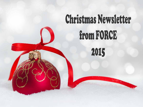# Christmas Newsletter from FORCE 2015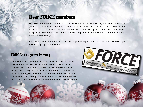# Dear FORCE members

Force congratulates you all with a productive year in 2015, filled with high activities in network groups, at seminars and in projects. Our industry will always be faced with new challenges and has to adapt to changes all the time. We think that the Force organization in the coming years will play an even more important role in facilitating knowledge transfer and communication to meet these challenges.

Please find below updates from both the "Improved exploration" and the "Improved oil & gas recovery" groups within Force.

Celebrating 20 years on Feb 2nd 2016

# FORCE is 20 years in 2015

This year we are celebrating 20 years since Force was founded. In November 1995 Force was born with only 13 companies. As we reach the end of 2015, Force consists of 49 companies. We are celebrating Force 20 years on February 2nd at the start up of the Joining Forces seminar. Read more about this seminar at www.force.org and register if you would like to attend. We hope that at least one person from each member company will attend!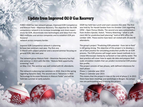# Update from Improved Oil & Gas Recovery

FORCE IOGR has two network groups, Improved EOR Competence and Mature Field – Maximize Recovery. The objective for the EOR competence network is to increase knowledge and share experiences for EOR, disseminate new technologies and ideas from the R&D institutes and service companies and to establish EOR professional

network across company border.

Improve EOR Competence network is planning to have two seminars next year. The first one in March with subject polymer and a second seminar focusing on general EOR, late next year.

The network group Mature Field – Maximize Recovery has had one seminar in 2015 with the title: "Mature field opportunity screening" held

on May 21st. The seminar was well visited with 81 attendants.

The network is planning two seminars in 2016. One in the spring regarding Dynamic Data. The second one is "Advances in Well Technology to Increase Recovery in Mature Fields" and will be held late summer or early autumn.

IOGR has held two Lunch and Learn sessions this year. The first was held by Tor Harald Sandve from Iris October 15th regarding OPM – Open Porous Media. The second one was a presentation from Anders Gjesdal, Statoil, "History Matching – what is sufficient HM for prediction/well planning" held at NPD office December 10th. These events have been vel visited with 20 and 40 attendants.

The group's project "Predicting EOR potential - from lab to field" is still going strong. The objective of this project is to develop a set of best practice for simulating production profile for an EOR process. The EOR process will target water based methods to increase Microscopic Sweep by surfactant or low salinity water. The best practice will cover how to apply lab data and prepare field scale simulation models that can predict incremental EOR production profile.

The project consists of two phases, with defined milestones for each phase:

Phase 1: Calendar year 2014 Phase 2: Calendar year 2015

This means that the project is now at the end of phase 2. In 2015 there have been meetings and workshops in Bergen. Six companies are participating and financing this project.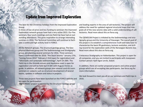## Update from Improved Exploration

The best for the Christmas holidays from the Improved Exploration Group.

In times of low oil price and less funding to seminars the Improved Exploration network groups have had a very active 2015. Our five seminars, four lunch meetings and one field trip have had an outstanding attendance. This gives inspiration to arrange interesting seminars in 2016. The Technical Committee will continue to facilitate a continued high activity level in FORCE.

All the Network groups, The structural geology group, The Geophysical Methods group and The Sedimentology and Stratigraphy group, are planning several seminars for 2016. Three seminars have a confirmed date for 2016: "Pre Stack Seismic" January 27th, "Joining Forces 2016" February 2-3rd (open for registration) and "Siliciclastic and carbonate sedimentology", April 19-20th. The Field trip in the Gironde estuary and Aquitaine coast is open for registration and will be held April 4-6th with Hugues Fenies as guide. In addition, all network groups plan several Lunch & Learn seminars on subjects such as structural development of several basins, updates in software and status in projects.

Three new projects have been launched on the FORCE website and are open for participation:

The NORSALT project is initiated by the Structural Geology group

and leading experts in the area of salt tectonics. The project will address the need for updated regional structural maps that integrate all of the new seismic data with a solid understanding of salt tectonics. Read more about this on force.org.

The QEMSCAN Project is initiated by the Sedimentology and stratigraphy group and the University of Stavanger. The overall goal of the project is to establish a comprehensive multi-well data base to characterize the basin fill geohistory, tectonic evolution, and drilling record for the exploration wells of the Norwegian Barents Sea. Read more about this also on force.org.

Cretaceous Stratigraphy on Haltenbanken. This project is open for all companies, and you are invited to participate with manpower. Contact person: Kjell Sigve Lervik, Statoil.

In addition, there are earlier proposed projects and active project groups which are all accepting late participants. See force.org for more information.

We look forward to meet you all on our seminars and field trips in 2016.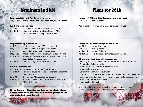# Seminars in 2015 Plans for 2016

## Improved Oil and Gas Recovery 2015

May 21 sth Mature fields - Maximize recovery (81 participants)

### **Lunch and learn seminars:**

Oct 15 th OPM – Open Porous Media (20 participants) Dec 10 th History Matching - what is sufficient HM for prediction/well planning (40 participants

## Improved Oil and Gas Recovery plan for 2016

Feb 2-3 rd Joining Forces

Plan to organize four Lunch & Learn seminars each year.

## Improved Exploration 2015

| April 8-9 th | Underexplored Plays (157 participants)              |
|--------------|-----------------------------------------------------|
| May 6-7 th   | Oslo Graben field trip (23 participants)            |
| May 6-7 th   | Applied Biostratigraphy (44 participants)           |
| May 21 st    | Mature field opportunity screening (81 particiants) |
| June 9-10 th | Triassic and Jurassic reservoir development in the  |
|              | Barents Sea (98 participants)                       |
| Dec 16 th    | Cores of the year 2015 (98 participants)            |

### **Lunch & Learn seminars:**

- March 24 th Geophysical Methods (36 participants)
- April 21 st Paleozoic lacustrine shales of Northeast Greenland (38 participants)
- June 9 th Geophysical Methods (22 participants)
- Nov 25 th Structural development of the Northern North Sea (96 participants)

If you have any ideas for seminars or projects please do not hesitate to contact the network groups or the two technical committees!

## Improved Exploration plan for 2016

| Jan 27 th  | Pre stack seismic                                        |
|------------|----------------------------------------------------------|
| Feb 2-3 rd | Joining Forces                                           |
|            | April 4-6 th Gironde field trip                          |
|            | April 19-20 th Siliciclastic and carbonate sedimentology |

## **Other planned activities without set dates:**

- Fault styles and fault evolution for seismic interpreters, February
- Oslo Graben field trip, spring
- Assessing the value of subsurface data, June
- Stratigraphic traps, Sept/Oct
- Cores of the year 2016, November
- The importance of diagenesis in exploration & production, December
- Use of dynamic data to improve reservoir architecture assessment
- Broadband seismic experiences
- Underexplored Plays II

In addition there are several lunch and learn seminars planned throughouth the year. Keep an eye on force.org for updates.